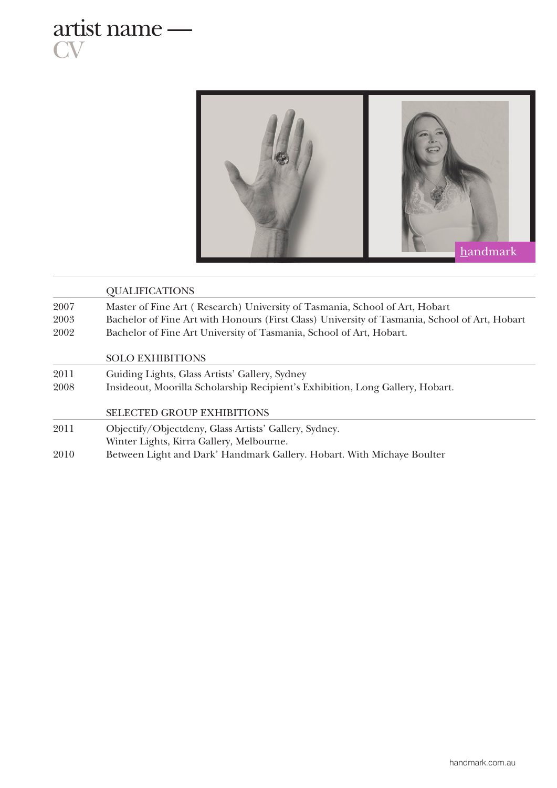

**CV** 



|      | <b>QUALIFICATIONS</b>                                                                         |
|------|-----------------------------------------------------------------------------------------------|
| 2007 | Master of Fine Art (Research) University of Tasmania, School of Art, Hobart                   |
| 2003 | Bachelor of Fine Art with Honours (First Class) University of Tasmania, School of Art, Hobart |
| 2002 | Bachelor of Fine Art University of Tasmania, School of Art, Hobart.                           |
|      | <b>SOLO EXHIBITIONS</b>                                                                       |
| 2011 | Guiding Lights, Glass Artists' Gallery, Sydney                                                |
| 2008 | Insideout, Moorilla Scholarship Recipient's Exhibition, Long Gallery, Hobart.                 |
|      | <b>SELECTED GROUP EXHIBITIONS</b>                                                             |
| 2011 | Objectify/Objectdeny, Glass Artists' Gallery, Sydney.                                         |
|      | Winter Lights, Kirra Gallery, Melbourne.                                                      |
| 2010 | Between Light and Dark' Handmark Gallery. Hobart. With Michaye Boulter                        |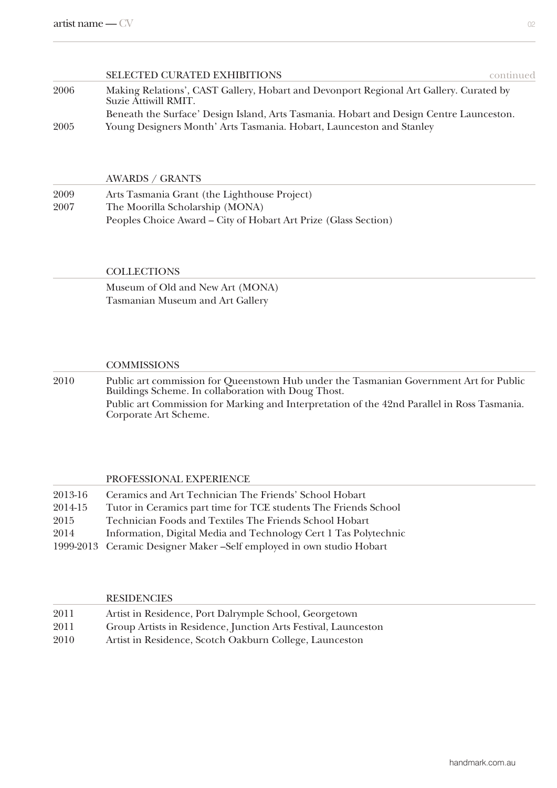|      | <b>SELECTED CURATED EXHIBITIONS</b>                                                                            | continued |
|------|----------------------------------------------------------------------------------------------------------------|-----------|
| 2006 | Making Relations', CAST Gallery, Hobart and Devonport Regional Art Gallery. Curated by<br>Suzie Attiwill RMIT. |           |
|      | Beneath the Surface' Design Island, Arts Tasmania. Hobart and Design Centre Launceston.                        |           |
| 2005 | Young Designers Month' Arts Tasmania. Hobart, Launceston and Stanley                                           |           |

#### AWARDS / GRANTS

2009 Arts Tasmania Grant (the Lighthouse Project) 2007 The Moorilla Scholarship (MONA) Peoples Choice Award – City of Hobart Art Prize (Glass Section)

### **COLLECTIONS**

Museum of Old and New Art (MONA) Tasmanian Museum and Art Gallery

#### **COMMISSIONS**

2010 Public art commission for Queenstown Hub under the Tasmanian Government Art for Public Buildings Scheme. In collaboration with Doug Thost. Public art Commission for Marking and Interpretation of the 42nd Parallel in Ross Tasmania. Corporate Art Scheme.

## PROFESSIONAL EXPERIENCE

| 2013-16 | Ceramics and Art Technician The Friends' School Hobart                |
|---------|-----------------------------------------------------------------------|
| 2014-15 | Tutor in Ceramics part time for TCE students The Friends School       |
| 2015    | Technician Foods and Textiles The Friends School Hobart               |
| 2014    | Information, Digital Media and Technology Cert 1 Tas Polytechnic      |
|         | 1999-2013 Ceramic Designer Maker - Self employed in own studio Hobart |

# **RESIDENCIES** 2011 Artist in Residence, Port Dalrymple School, Georgetown 2011 Group Artists in Residence, Junction Arts Festival, Launceston 2010 Artist in Residence, Scotch Oakburn College, Launceston